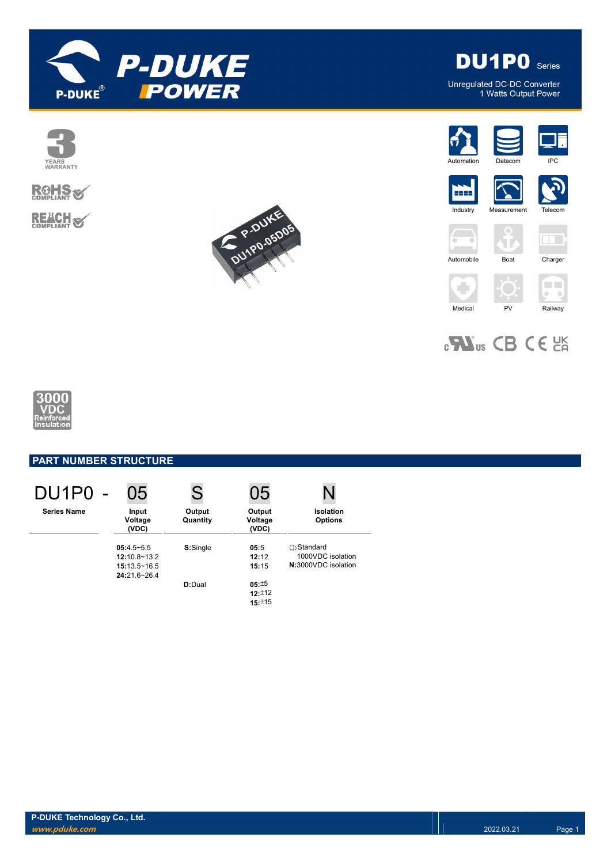

**DU1PO** Series

Unregulated DC-DC Converter<br>1 Watts Output Power





**REACH S** 







5555 **Industry** 











 $_{c}$   $\mathbf{W}_{us}$  CB CE  $_{c}$  EK



## PART NUMBER STRUCTURE

| DU1P0 -            | 05                                                   | S                  | 05                         | N                                                             |
|--------------------|------------------------------------------------------|--------------------|----------------------------|---------------------------------------------------------------|
| <b>Series Name</b> | Input<br>Voltage<br>(VDC)                            | Output<br>Quantity | Output<br>Voltage<br>(VDC) | <b>Isolation</b><br><b>Options</b>                            |
|                    | $05:4.5-5.5$<br>$12:10.8 - 13.2$<br>$15:13.5 - 16.5$ | S:Single           | 05:5<br>12:12<br>15:15     | <b>∏:Standard</b><br>1000VDC isolation<br>N:3000VDC isolation |
|                    | $24:21.6 - 26.4$                                     | $D:$ Dual          | 05:15<br>12:12<br>15:±15   |                                                               |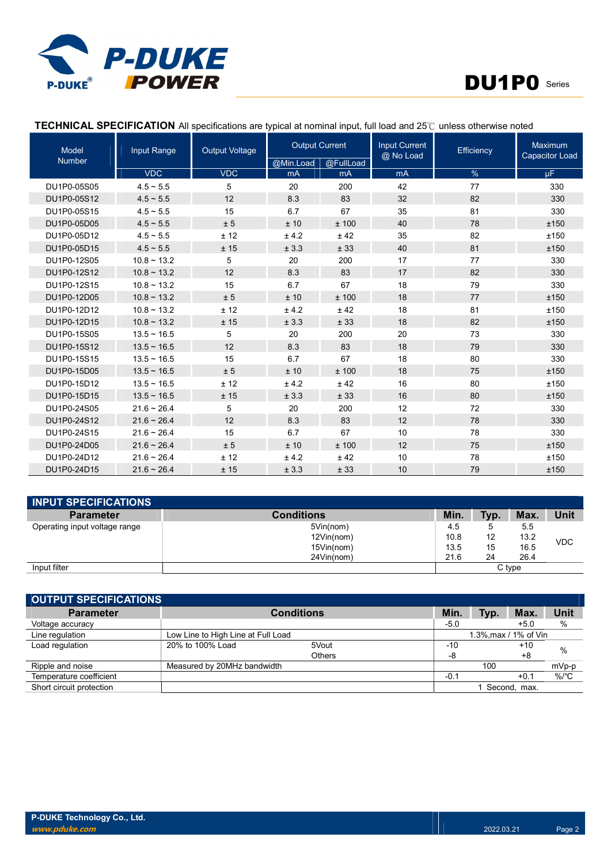

٦

# DU1P0 Series

| <b>Model</b>  | Input Range         | <b>Output Voltage</b> | <b>Output Current</b> |           | <b>Input Current</b><br>@ No Load | Efficiency | Maximum<br><b>Capacitor Load</b> |  |
|---------------|---------------------|-----------------------|-----------------------|-----------|-----------------------------------|------------|----------------------------------|--|
| <b>Number</b> |                     |                       | @Min.Load             | @FullLoad |                                   |            |                                  |  |
|               | <b>VDC</b>          | <b>VDC</b>            | mA                    | mA        | <b>mA</b>                         | $\%$       | uF.                              |  |
| DU1P0-05S05   | $4.5 - 5.5$         | 5                     | 20                    | 200       | 42                                | 77         | 330                              |  |
| DU1P0-05S12   | $4.5 \sim 5.5$      | 12                    | 8.3                   | 83        | 32                                | 82         | 330                              |  |
| DU1P0-05S15   | $4.5 \sim 5.5$      | 15                    | 6.7                   | 67        | 35                                | 81         | 330                              |  |
| DU1P0-05D05   | $4.5 \sim 5.5$      | ± 5                   | ±10                   | ± 100     | 40                                | 78         | ±150                             |  |
| DU1P0-05D12   | $4.5 \sim 5.5$      | ± 12                  | ± 4.2                 | ± 42      | 35                                | 82         | ±150                             |  |
| DU1P0-05D15   | $4.5 \sim 5.5$      | ± 15                  | ± 3.3                 | ± 33      | 40                                | 81         | ±150                             |  |
| DU1P0-12S05   | $10.8 \sim 13.2$    | 5                     | 20                    | 200       | 17                                | 77         | 330                              |  |
| DU1P0-12S12   | $10.8 \sim 13.2$    | 12                    | 8.3                   | 83        | 17                                | 82         | 330                              |  |
| DU1P0-12S15   | $10.8 \sim 13.2$    | 15                    | 6.7                   | 67        | 18                                | 79         | 330                              |  |
| DU1P0-12D05   | $10.8 \sim 13.2$    | ± 5                   | ±10                   | ± 100     | 18                                | 77         | ±150                             |  |
| DU1P0-12D12   | $10.8 \sim 13.2$    | ± 12                  | ± 4.2                 | ± 42      | 18                                | 81         | ±150                             |  |
| DU1P0-12D15   | $10.8 \sim 13.2$    | ± 15                  | ± 3.3                 | ± 33      | 18                                | 82         | ±150                             |  |
| DU1P0-15S05   | $13.5 \sim 16.5$    | 5                     | 20                    | 200       | 20                                | 73         | 330                              |  |
| DU1P0-15S12   | $13.5 \sim 16.5$    | 12                    | 8.3                   | 83        | 18                                | 79         | 330                              |  |
| DU1P0-15S15   | $13.5 \sim 16.5$    | 15                    | 6.7                   | 67        | 18                                | 80         | 330                              |  |
| DU1P0-15D05   | $13.5 \sim 16.5$    | ± 5                   | ±10                   | ± 100     | 18                                | 75         | ±150                             |  |
| DU1P0-15D12   | $13.5 \sim 16.5$    | ± 12                  | ±4.2                  | ± 42      | 16                                | 80         | ±150                             |  |
| DU1P0-15D15   | $13.5 \sim 16.5$    | ± 15                  | ± 3.3                 | ± 33      | 16                                | 80         | ±150                             |  |
| DU1P0-24S05   | $21.6 - 26.4$       | 5                     | 20                    | 200       | 12                                | 72         | 330                              |  |
| DU1P0-24S12   | $21.6 \approx 26.4$ | 12                    | 8.3                   | 83        | 12                                | 78         | 330                              |  |
| DU1P0-24S15   | $21.6 - 26.4$       | 15                    | 6.7                   | 67        | 10                                | 78         | 330                              |  |
| DU1P0-24D05   | $21.6 - 26.4$       | ± 5                   | ±10                   | ±100      | 12                                | 75         | ±150                             |  |
| DU1P0-24D12   | $21.6 \sim 26.4$    | ± 12                  | ± 4.2                 | ± 42      | 10                                | 78         | ±150                             |  |
| DU1P0-24D15   | $21.6 \sim 26.4$    | ±15                   | ± 3.3                 | ± 33      | 10                                | 79         | ±150                             |  |

### TECHNICAL SPECIFICATION All specifications are typical at nominal input, full load and 25℃ unless otherwise noted

П

п

| <b>INPUT SPECIFICATIONS</b>   |                   |        |      |      |            |
|-------------------------------|-------------------|--------|------|------|------------|
| <b>Parameter</b>              | <b>Conditions</b> | Min.   | Typ. | Max. | Unit       |
| Operating input voltage range | 5Vin(nom)         | 4.5    | .5   | 5.5  |            |
|                               | 12Vin(nom)        | 10.8   | 12   | 13.2 | <b>VDC</b> |
|                               | 15Vin(nom)        | 13.5   | 15   | 16.5 |            |
|                               | 24Vin(nom)        | 21.6   | 24   | 26.4 |            |
| Input filter                  |                   | C type |      |      |            |

| <b>OUTPUT SPECIFICATIONS</b> |                                    |                   |        |                       |              |         |
|------------------------------|------------------------------------|-------------------|--------|-----------------------|--------------|---------|
| <b>Parameter</b>             |                                    | <b>Conditions</b> | Min.   | Typ.                  | Max.         | Unit    |
| Voltage accuracy             |                                    |                   | $-5.0$ |                       | $+5.0$       | %       |
| Line regulation              | Low Line to High Line at Full Load |                   |        | 1.3%, max / 1% of Vin |              |         |
| Load regulation              | 20% to 100% Load                   | 5Vout             | $-10$  |                       | $+10$        | $\%$    |
|                              |                                    | Others            | -8     |                       | +8           |         |
| Ripple and noise             | Measured by 20MHz bandwidth        |                   |        | 100                   |              | mVp-p   |
| Temperature coefficient      |                                    |                   | $-0.1$ |                       | $+0.1$       | $%$ /°C |
| Short circuit protection     |                                    |                   |        |                       | Second. max. |         |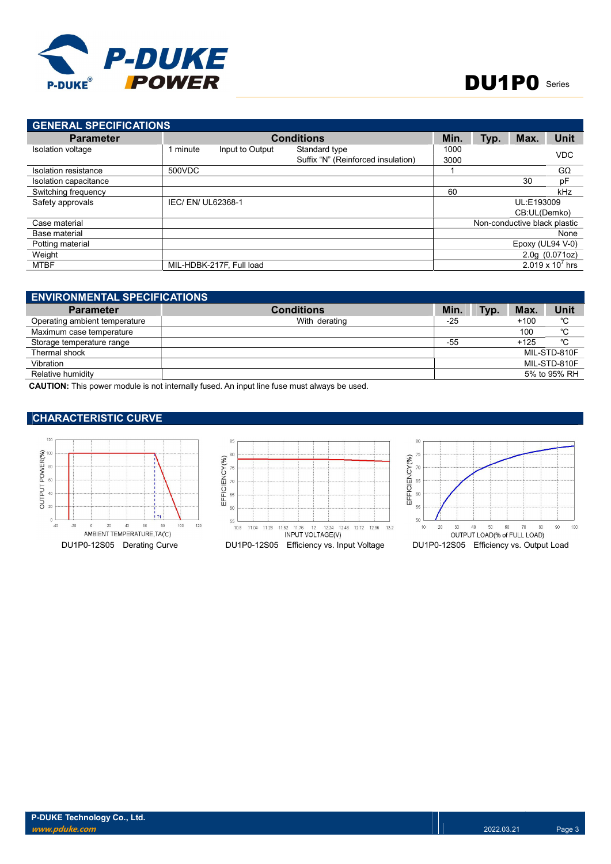

| <b>GENERAL SPECIFICATIONS</b> |                    |                          |                                    |      |      |                              |                    |
|-------------------------------|--------------------|--------------------------|------------------------------------|------|------|------------------------------|--------------------|
| <b>Parameter</b>              |                    |                          | <b>Conditions</b>                  | Min. | Typ. | Max.                         | <b>Unit</b>        |
| <b>Isolation voltage</b>      | 1 minute           | Input to Output          | Standard type                      | 1000 |      |                              | <b>VDC</b>         |
|                               |                    |                          | Suffix "N" (Reinforced insulation) | 3000 |      |                              |                    |
| <b>Isolation resistance</b>   | 500VDC             |                          |                                    |      |      |                              | $G\Omega$          |
| Isolation capacitance         |                    |                          |                                    |      |      | 30                           | pF                 |
| Switching frequency           |                    |                          |                                    | 60   |      |                              | kHz                |
| Safety approvals              | IEC/ EN/ UL62368-1 |                          |                                    |      |      | UL:E193009                   |                    |
|                               |                    |                          |                                    |      |      | CB:UL(Demko)                 |                    |
| Case material                 |                    |                          |                                    |      |      | Non-conductive black plastic |                    |
| Base material                 |                    |                          |                                    |      |      |                              | None               |
| Potting material              |                    |                          |                                    |      |      | Epoxy (UL94 $V-0$ )          |                    |
| Weight                        |                    |                          |                                    |      |      |                              | 2.0g(0.071oz)      |
| MTBF                          |                    | MIL-HDBK-217F, Full load |                                    |      |      |                              | 2.019 x $10^7$ hrs |

| <b>ENVIRONMENTAL SPECIFICATIONS</b> |                   |       |      |        |              |  |  |
|-------------------------------------|-------------------|-------|------|--------|--------------|--|--|
| <b>Parameter</b>                    | <b>Conditions</b> | Min   | Typ. | Max.   | <b>Unit</b>  |  |  |
| Operating ambient temperature       | With derating     | $-25$ |      | $+100$ | °C           |  |  |
| Maximum case temperature            |                   |       |      | 100    | °C           |  |  |
| Storage temperature range           |                   | $-55$ |      | $+125$ | °C           |  |  |
| Thermal shock                       |                   |       |      |        | MIL-STD-810F |  |  |
| Vibration                           |                   |       |      |        | MIL-STD-810F |  |  |
| Relative humidity                   |                   |       |      |        | 5% to 95% RH |  |  |

CAUTION: This power module is not internally fused. An input line fuse must always be used.

#### CHARACTERISTIC CURVE

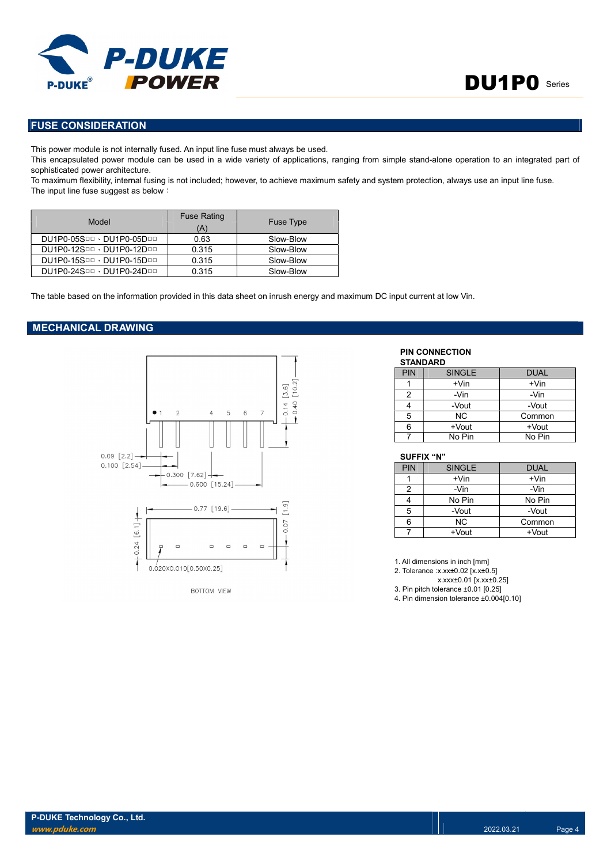

#### FUSE CONSIDERATION

This power module is not internally fused. An input line fuse must always be used.

This encapsulated power module can be used in a wide variety of applications, ranging from simple stand-alone operation to an integrated part of sophisticated power architecture.

To maximum flexibility, internal fusing is not included; however, to achieve maximum safety and system protection, always use an input line fuse. The input line fuse suggest as below:

| Model                     | <b>Fuse Rating</b><br>(A) | <b>Fuse Type</b> |
|---------------------------|---------------------------|------------------|
| DU1P0-05SDD · DU1P0-05DDD | 0.63                      | Slow-Blow        |
| DU1P0-12SOD · DU1P0-12DOD | 0.315                     | Slow-Blow        |
| DU1P0-15SDD · DU1P0-15DDD | 0.315                     | Slow-Blow        |
| DU1P0-24SOD · DU1P0-24DOD | 0.315                     | Slow-Blow        |

The table based on the information provided in this data sheet on inrush energy and maximum DC input current at low Vin.

#### MECHANICAL DRAWING



PIN CONNECTION STANDARD

| <b>PIN</b> | <b>SINGLE</b> | <b>DUAL</b> |
|------------|---------------|-------------|
|            | $+V$ in       | $+V$ in     |
| 2          | -Vin          | -Vin        |
|            | -Vout         | -Vout       |
| 5          | ΝC            | Common      |
| 6          | +Vout         | $+$ Vout    |
|            | No Pin        | No Pin      |

#### SUFFIX "N"

| <b>PIN</b> | <b>SINGLE</b> | <b>DUAL</b> |
|------------|---------------|-------------|
|            | $+V$ in       | $+V$ in     |
| 2          | -Vin          | -Vin        |
|            | No Pin        | No Pin      |
| 5          | -Vout         | -Vout       |
| 6          | NC.           | Common      |
|            | +Vout         | +Vout       |

1. All dimensions in inch [mm]

2. Tolerance :x.xx±0.02 [x.x±0.5]

x.xxx±0.01 [x.xx±0.25]

3. Pin pitch tolerance ±0.01 [0.25]

4. Pin dimension tolerance ±0.004[0.10]